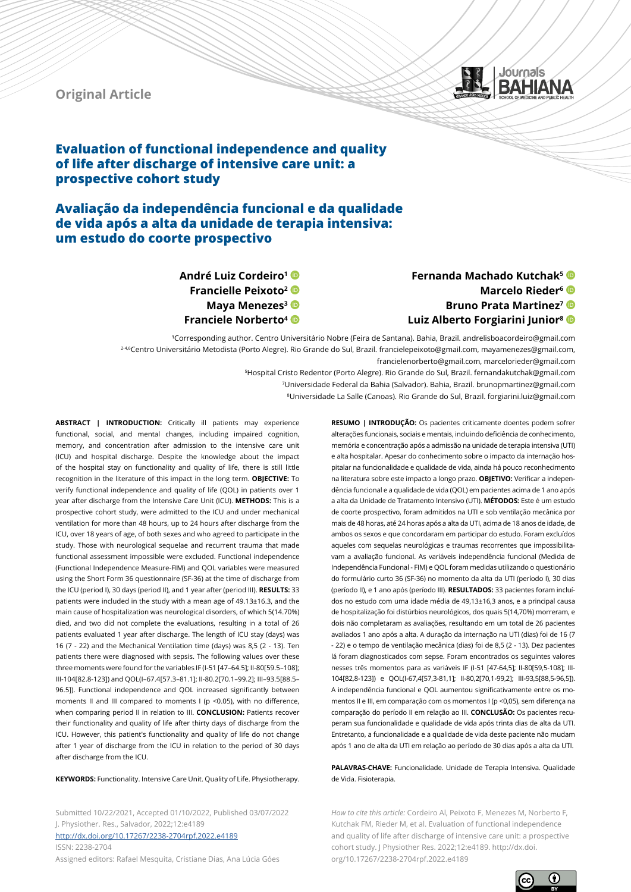



# **Evaluation of functional independence and quality of life after discharge of intensive care unit: a prospective cohort study**

**Avaliação da independência funcional e da qualidade de vida após a alta da unidade de terapia intensiva: um estudo do coorte prospectivo**

> **André Luiz Cordeiro1 Francielle Peixoto2 Maya Menezes<sup>3</sup> Franciele Norberto4**

# **Fernanda Machado Kutchak5 Marcelo Rieder6 Bruno Prata Martinez7 Luiz Alberto Forgiarini Junior8**

<sup>1</sup>Corresponding author. Centro Universitário Nobre (Feira de Santana). Bahia, Brazil. andrelisboacordeiro@gmail.com 2-4,6Centro Universitário Metodista (Porto Alegre). Rio Grande do Sul, Brazil. francielepeixoto@gmail.com, mayamenezes@gmail.com, francielenorberto@gmail.com, marcelorieder@gmail.com

> 5Hospital Cristo Redentor (Porto Alegre). Rio Grande do Sul, Brazil. fernandakutchak@gmail.com 7Universidade Federal da Bahia (Salvador). Bahia, Brazil. brunopmartinez@gmail.com

8Universidade La Salle (Canoas). Rio Grande do Sul, Brazil. forgiarini.luiz@gmail.com

**ABSTRACT | INTRODUCTION:** Critically ill patients may experience functional, social, and mental changes, including impaired cognition, memory, and concentration after admission to the intensive care unit (ICU) and hospital discharge. Despite the knowledge about the impact of the hospital stay on functionality and quality of life, there is still little recognition in the literature of this impact in the long term. **OBJECTIVE:** To verify functional independence and quality of life (QOL) in patients over 1 year after discharge from the Intensive Care Unit (ICU). **METHODS:** This is a prospective cohort study, were admitted to the ICU and under mechanical ventilation for more than 48 hours, up to 24 hours after discharge from the ICU, over 18 years of age, of both sexes and who agreed to participate in the study. Those with neurological sequelae and recurrent trauma that made functional assessment impossible were excluded. Functional independence (Functional Independence Measure-FIM) and QOL variables were measured using the Short Form 36 questionnaire (SF-36) at the time of discharge from the ICU (period I), 30 days (period II), and 1 year after (period III). **RESULTS:** 33 patients were included in the study with a mean age of 49.13±16.3, and the main cause of hospitalization was neurological disorders, of which 5(14.70%) died, and two did not complete the evaluations, resulting in a total of 26 patients evaluated 1 year after discharge. The length of ICU stay (days) was 16 (7 - 22) and the Mechanical Ventilation time (days) was 8,5 (2 - 13). Ten patients there were diagnosed with sepsis. The following values over these three moments were found for the variables IF (I-51 [47–64.5]; II-80[59.5–108]; III-104[82.8-123]) and QOL(I–67.4[57.3–81.1]; II-80.2[70.1–99.2]; III–93.5[88.5– 96.5]). Functional independence and QOL increased significantly between moments II and III compared to moments I (p <0.05), with no difference, when comparing period II in relation to III. **CONCLUSION:** Patients recover their functionality and quality of life after thirty days of discharge from the ICU. However, this patient's functionality and quality of life do not change after 1 year of discharge from the ICU in relation to the period of 30 days after discharge from the ICU.

**KEYWORDS:** Functionality. Intensive Care Unit. Quality of Life. Physiotherapy.

Submitted 10/22/2021, Accepted 01/10/2022, Published 03/07/2022 J. Physiother. Res., Salvador, 2022;12:e4189 <http://dx.doi.org/10.17267/2238-2704rpf.2022.e4189> ISSN: 2238-2704

Assigned editors: Rafael Mesquita, Cristiane Dias, Ana Lúcia Góes

**RESUMO | INTRODUÇÃO:** Os pacientes criticamente doentes podem sofrer alterações funcionais, sociais e mentais, incluindo deficiência de conhecimento, memória e concentração após a admissão na unidade de terapia intensiva (UTI) e alta hospitalar. Apesar do conhecimento sobre o impacto da internação hospitalar na funcionalidade e qualidade de vida, ainda há pouco reconhecimento na literatura sobre este impacto a longo prazo. **OBJETIVO:** Verificar a independência funcional e a qualidade de vida (QOL) em pacientes acima de 1 ano após a alta da Unidade de Tratamento Intensivo (UTI). **MÉTODOS:** Este é um estudo de coorte prospectivo, foram admitidos na UTI e sob ventilação mecânica por mais de 48 horas, até 24 horas após a alta da UTI, acima de 18 anos de idade, de ambos os sexos e que concordaram em participar do estudo. Foram excluídos aqueles com sequelas neurológicas e traumas recorrentes que impossibilitavam a avaliação funcional. As variáveis independência funcional (Medida de Independência Funcional - FIM) e QOL foram medidas utilizando o questionário do formulário curto 36 (SF-36) no momento da alta da UTI (período I), 30 dias (período II), e 1 ano após (período III). **RESULTADOS:** 33 pacientes foram incluídos no estudo com uma idade média de 49,13±16,3 anos, e a principal causa de hospitalização foi distúrbios neurológicos, dos quais 5(14,70%) morreram, e dois não completaram as avaliações, resultando em um total de 26 pacientes avaliados 1 ano após a alta. A duração da internação na UTI (dias) foi de 16 (7 - 22) e o tempo de ventilação mecânica (dias) foi de 8,5 (2 - 13). Dez pacientes lá foram diagnosticados com sepse. Foram encontrados os seguintes valores nesses três momentos para as variáveis IF (I-51 [47-64,5]; II-80[59,5-108]; III-104[82,8-123]) e QOL(I-67,4[57,3-81,1]; II-80,2[70,1-99,2]; III-93,5[88,5-96,5]). A independência funcional e QOL aumentou significativamente entre os momentos II e III, em comparação com os momentos I (p <0,05), sem diferença na comparação do período II em relação ao III. **CONCLUSÃO:** Os pacientes recuperam sua funcionalidade e qualidade de vida após trinta dias de alta da UTI. Entretanto, a funcionalidade e a qualidade de vida deste paciente não mudam após 1 ano de alta da UTI em relação ao período de 30 dias após a alta da UTI.

**PALAVRAS-CHAVE:** Funcionalidade. Unidade de Terapia Intensiva. Qualidade de Vida. Fisioterapia.

*How to cite this article:* Cordeiro Al, Peixoto F, Menezes M, Norberto F, Kutchak FM, Rieder M, et al. Evaluation of functional independence and quality of life after discharge of intensive care unit: a prospective cohort study. J Physiother Res. 2022;12:e4189. http://dx.doi. org/10.17267/2238-2704rpf.2022.e4189

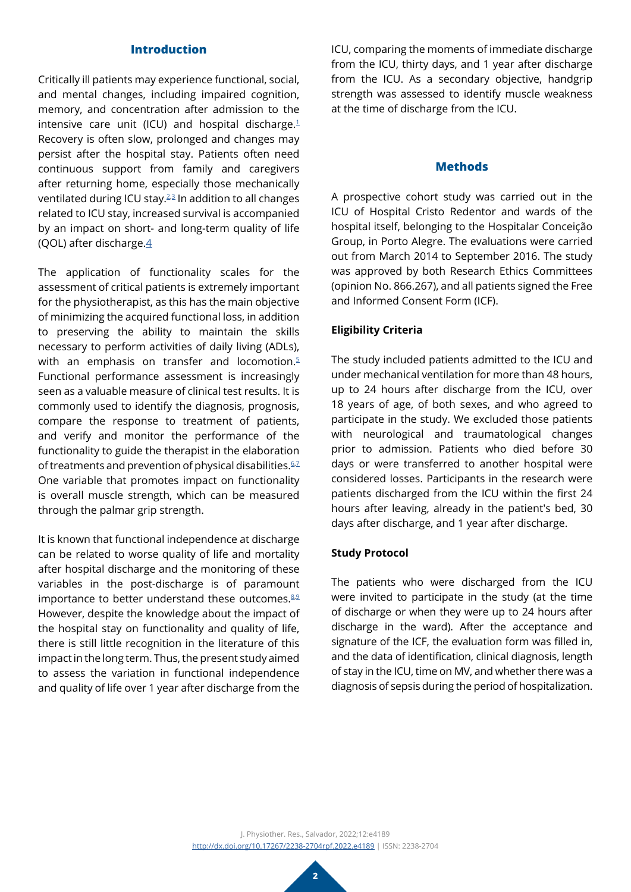## **Introduction**

Critically ill patients may experience functional, social, and mental changes, including impaired cognition, memory, and concentration after admission to the intensive care unit (ICU) and hospital discharge.<sup>1</sup> Recovery is often slow, prolonged and changes may persist after the hospital stay. Patients often need continuous support from family and caregivers after returning home, especially those mechanically ventilated during ICU stay.<sup>2,[3](#page-6-2)</sup> In addition to all changes related to ICU stay, increased survival is accompanied by an impact on short- and long-term quality of life (QOL) after discharge. $4$ 

The application of functionality scales for the assessment of critical patients is extremely important for the physiotherapist, as this has the main objective of minimizing the acquired functional loss, in addition to preserving the ability to maintain the skills necessary to perform activities of daily living (ADLs), with an emphasis on transfer and locomotion. $5$ Functional performance assessment is increasingly seen as a valuable measure of clinical test results. It is commonly used to identify the diagnosis, prognosis, compare the response to treatment of patients, and verify and monitor the performance of the functionality to guide the therapist in the elaboration of treatments and prevention of physical disabilities.<sup>[6](#page-6-5),2</sup> One variable that promotes impact on functionality is overall muscle strength, which can be measured through the palmar grip strength.

It is known that functional independence at discharge can be related to worse quality of life and mortality after hospital discharge and the monitoring of these variables in the post-discharge is of paramount importance to better understand these outcomes. $8.9$  $8.9$ However, despite the knowledge about the impact of the hospital stay on functionality and quality of life, there is still little recognition in the literature of this impact in the long term. Thus, the present study aimed to assess the variation in functional independence and quality of life over 1 year after discharge from the

ICU, comparing the moments of immediate discharge from the ICU, thirty days, and 1 year after discharge from the ICU. As a secondary objective, handgrip strength was assessed to identify muscle weakness at the time of discharge from the ICU.

#### **Methods**

A prospective cohort study was carried out in the ICU of Hospital Cristo Redentor and wards of the hospital itself, belonging to the Hospitalar Conceição Group, in Porto Alegre. The evaluations were carried out from March 2014 to September 2016. The study was approved by both Research Ethics Committees (opinion No. 866.267), and all patients signed the Free and Informed Consent Form (ICF).

## **Eligibility Criteria**

The study included patients admitted to the ICU and under mechanical ventilation for more than 48 hours, up to 24 hours after discharge from the ICU, over 18 years of age, of both sexes, and who agreed to participate in the study. We excluded those patients with neurological and traumatological changes prior to admission. Patients who died before 30 days or were transferred to another hospital were considered losses. Participants in the research were patients discharged from the ICU within the first 24 hours after leaving, already in the patient's bed, 30 days after discharge, and 1 year after discharge.

#### **Study Protocol**

The patients who were discharged from the ICU were invited to participate in the study (at the time of discharge or when they were up to 24 hours after discharge in the ward). After the acceptance and signature of the ICF, the evaluation form was filled in, and the data of identification, clinical diagnosis, length of stay in the ICU, time on MV, and whether there was a diagnosis of sepsis during the period of hospitalization.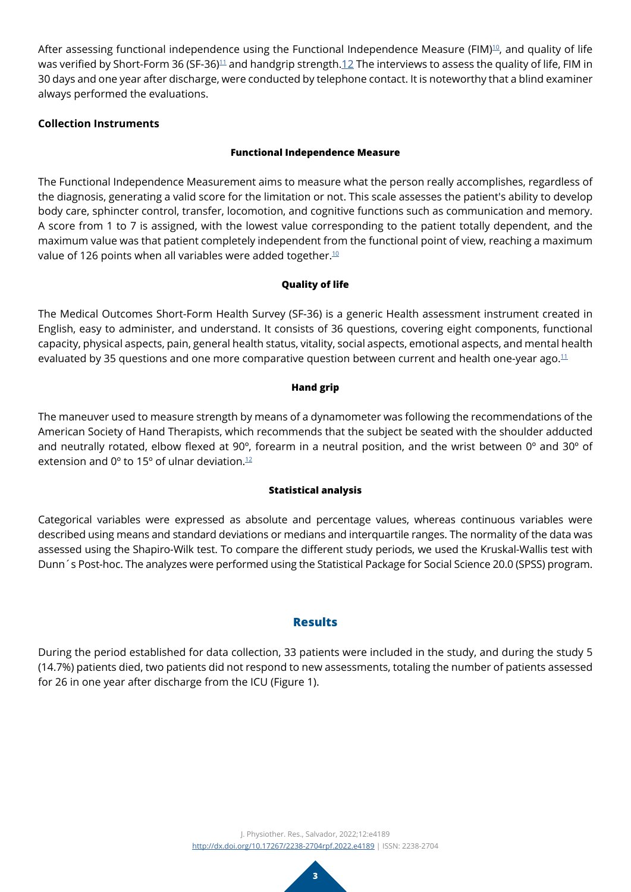After assessing functional independence using the Functional Independence Measure (FIM)<sup>[10](#page-6-9)</sup>, and quality of life was verified by Short-Form 36 (SF-36)<sup>11</sup> and handgrip strength[.12](#page-6-11) The interviews to assess the quality of life, FIM in 30 days and one year after discharge, were conducted by telephone contact. It is noteworthy that a blind examiner always performed the evaluations.

## **Collection Instruments**

#### **Functional Independence Measure**

The Functional Independence Measurement aims to measure what the person really accomplishes, regardless of the diagnosis, generating a valid score for the limitation or not. This scale assesses the patient's ability to develop body care, sphincter control, transfer, locomotion, and cognitive functions such as communication and memory. A score from 1 to 7 is assigned, with the lowest value corresponding to the patient totally dependent, and the maximum value was that patient completely independent from the functional point of view, reaching a maximum value of 126 points when all variables were added together. $10$ 

## **Quality of life**

The Medical Outcomes Short-Form Health Survey (SF-36) is a generic Health assessment instrument created in English, easy to administer, and understand. It consists of 36 questions, covering eight components, functional capacity, physical aspects, pain, general health status, vitality, social aspects, emotional aspects, and mental health evaluated by 35 questions and one more comparative question between current and health one-year ago.<sup>11</sup>

#### **Hand grip**

The maneuver used to measure strength by means of a dynamometer was following the recommendations of the American Society of Hand Therapists, which recommends that the subject be seated with the shoulder adducted and neutrally rotated, elbow flexed at 90º, forearm in a neutral position, and the wrist between 0º and 30º of extension and  $0^{\circ}$  to 15° of ulnar deviation.<sup>[12](#page-6-11)</sup>

## **Statistical analysis**

Categorical variables were expressed as absolute and percentage values, whereas continuous variables were described using means and standard deviations or medians and interquartile ranges. The normality of the data was assessed using the Shapiro-Wilk test. To compare the different study periods, we used the Kruskal-Wallis test with Dunn´s Post-hoc. The analyzes were performed using the Statistical Package for Social Science 20.0 (SPSS) program.

## **Results**

During the period established for data collection, 33 patients were included in the study, and during the study 5 (14.7%) patients died, two patients did not respond to new assessments, totaling the number of patients assessed for 26 in one year after discharge from the ICU (Figure 1).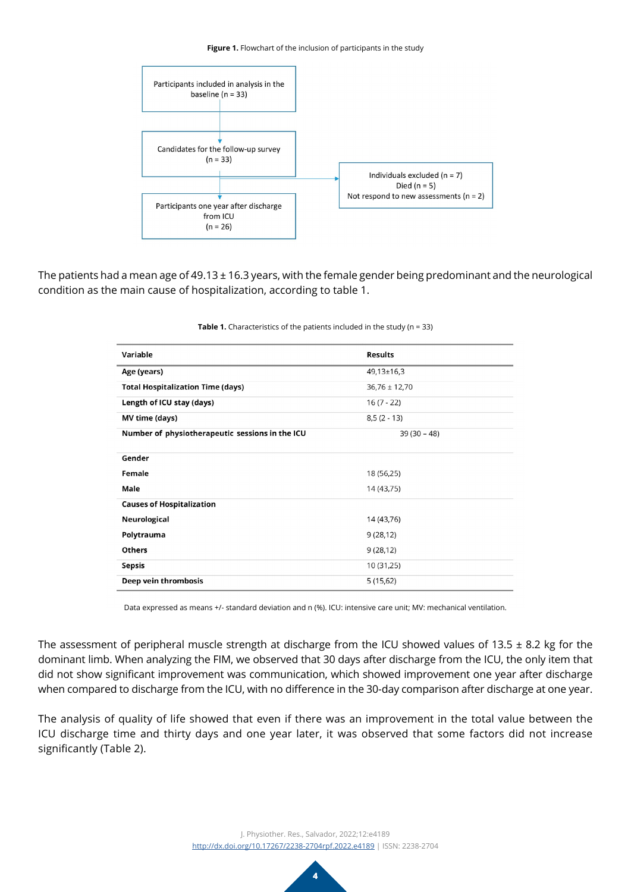#### **Figure 1.** Flowchart of the inclusion of participants in the study



The patients had a mean age of 49.13  $\pm$  16.3 years, with the female gender being predominant and the neurological condition as the main cause of hospitalization, according to table 1.

| Variable                                        | <b>Results</b>    |
|-------------------------------------------------|-------------------|
| Age (years)                                     | $49,13 \pm 16,3$  |
| <b>Total Hospitalization Time (days)</b>        | $36,76 \pm 12,70$ |
| Length of ICU stay (days)                       | $16(7 - 22)$      |
| MV time (days)                                  | $8,5(2 - 13)$     |
| Number of physiotherapeutic sessions in the ICU | $39(30 - 48)$     |
| Gender                                          |                   |
|                                                 |                   |
| Female                                          | 18 (56,25)        |
| Male                                            | 14 (43,75)        |
| <b>Causes of Hospitalization</b>                |                   |
| Neurological                                    | 14 (43,76)        |
| Polytrauma                                      | 9(28, 12)         |
| <b>Others</b>                                   | 9(28,12)          |
| Sepsis                                          | 10 (31,25)        |
| Deep vein thrombosis                            | 5(15,62)          |

#### **Table 1.** Characteristics of the patients included in the study (n = 33)

Data expressed as means +/- standard deviation and n (%). ICU: intensive care unit; MV: mechanical ventilation.

The assessment of peripheral muscle strength at discharge from the ICU showed values of 13.5  $\pm$  8.2 kg for the dominant limb. When analyzing the FIM, we observed that 30 days after discharge from the ICU, the only item that did not show significant improvement was communication, which showed improvement one year after discharge when compared to discharge from the ICU, with no difference in the 30-day comparison after discharge at one year.

The analysis of quality of life showed that even if there was an improvement in the total value between the ICU discharge time and thirty days and one year later, it was observed that some factors did not increase significantly (Table 2).

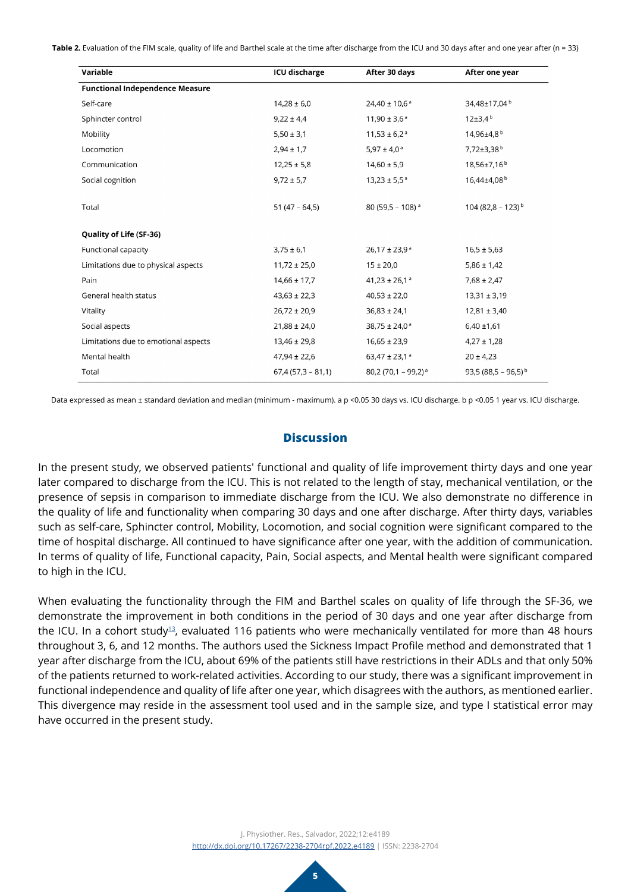**Table 2.** Evaluation of the FIM scale, quality of life and Barthel scale at the time after discharge from the ICU and 30 days after and one year after (n = 33)

| Variable                               | <b>ICU discharge</b> | After 30 days                   | After one year                  |
|----------------------------------------|----------------------|---------------------------------|---------------------------------|
| <b>Functional Independence Measure</b> |                      |                                 |                                 |
| Self-care                              | $14,28 \pm 6,0$      | $24,40 \pm 10,6^{\text{a}}$     | 34,48±17,04 <sup>b</sup>        |
| Sphincter control                      | $9,22 \pm 4,4$       | $11,90 \pm 3,6^{\circ}$         | $12\pm3.4^{\circ}$              |
| Mobility                               | $5,50 \pm 3,1$       | $11,53 \pm 6,2^a$               | 14,96±4,8 <sup>b</sup>          |
| Locomotion                             | $2,94 \pm 1,7$       | $5,97 \pm 4,0^{\circ}$          | $7,72\pm3,38^{b}$               |
| Communication                          | $12,25 \pm 5,8$      | $14,60 \pm 5,9$                 | 18,56±7,16 <sup>b</sup>         |
| Social cognition                       | $9,72 \pm 5,7$       | $13,23 \pm 5,5^{\circ}$         | 16,44±4,08 <sup>b</sup>         |
| Total                                  | $51(47 - 64, 5)$     | 80 (59,5 - 108) $a$             | 104 (82,8 - 123) <sup>b</sup>   |
| Quality of Life (SF-36)                |                      |                                 |                                 |
| Functional capacity                    | $3,75 \pm 6,1$       | $26,17 \pm 23,9^{\circ}$        | $16,5 \pm 5,63$                 |
| Limitations due to physical aspects    | $11,72 \pm 25,0$     | $15 \pm 20.0$                   | $5,86 \pm 1,42$                 |
| Pain                                   | $14,66 \pm 17,7$     | 41,23 ± 26,1 $a$                | $7,68 \pm 2,47$                 |
| General health status                  | $43,63 \pm 22,3$     | $40,53 \pm 22,0$                | $13,31 \pm 3,19$                |
| Vitality                               | $26,72 \pm 20,9$     | $36,83 \pm 24,1$                | $12,81 \pm 3,40$                |
| Social aspects                         | $21,88 \pm 24,0$     | $38,75 \pm 24,0^{\text{a}}$     | $6,40 \pm 1,61$                 |
| Limitations due to emotional aspects   | $13,46 \pm 29,8$     | $16,65 \pm 23,9$                | $4,27 \pm 1,28$                 |
| Mental health                          | $47,94 \pm 22,6$     | 63,47 ± 23,1 $a$                | $20 \pm 4.23$                   |
| Total                                  | $67,4(57,3 - 81,1)$  | 80,2 (70,1 - 99,2) <sup>a</sup> | 93,5 (88,5 - 96,5) <sup>b</sup> |

Data expressed as mean ± standard deviation and median (minimum - maximum). a p <0.05 30 days vs. ICU discharge. b p <0.05 1 year vs. ICU discharge.

# **Discussion**

In the present study, we observed patients' functional and quality of life improvement thirty days and one year later compared to discharge from the ICU. This is not related to the length of stay, mechanical ventilation, or the presence of sepsis in comparison to immediate discharge from the ICU. We also demonstrate no difference in the quality of life and functionality when comparing 30 days and one after discharge. After thirty days, variables such as self-care, Sphincter control, Mobility, Locomotion, and social cognition were significant compared to the time of hospital discharge. All continued to have significance after one year, with the addition of communication. In terms of quality of life, Functional capacity, Pain, Social aspects, and Mental health were significant compared to high in the ICU.

When evaluating the functionality through the FIM and Barthel scales on quality of life through the SF-36, we demonstrate the improvement in both conditions in the period of 30 days and one year after discharge from the ICU. In a cohort study<sup>[13](#page-6-12)</sup>, evaluated 116 patients who were mechanically ventilated for more than 48 hours throughout 3, 6, and 12 months. The authors used the Sickness Impact Profile method and demonstrated that 1 year after discharge from the ICU, about 69% of the patients still have restrictions in their ADLs and that only 50% of the patients returned to work-related activities. According to our study, there was a significant improvement in functional independence and quality of life after one year, which disagrees with the authors, as mentioned earlier. This divergence may reside in the assessment tool used and in the sample size, and type I statistical error may have occurred in the present study.

> J. Physiother. Res., Salvador, 2022;12:e4189 <http://dx.doi.org/10.17267/2238-2704rpf.2022.e4189> | ISSN: 2238-2704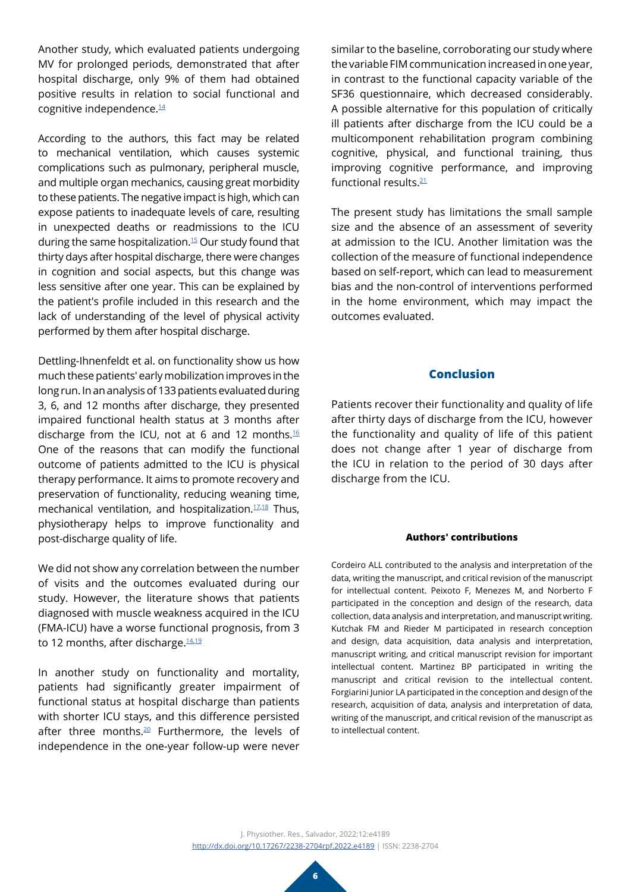Another study, which evaluated patients undergoing MV for prolonged periods, demonstrated that after hospital discharge, only 9% of them had obtained positive results in relation to social functional and cognitive independence.<sup>14</sup>

According to the authors, this fact may be related to mechanical ventilation, which causes systemic complications such as pulmonary, peripheral muscle, and multiple organ mechanics, causing great morbidity to these patients. The negative impact is high, which can expose patients to inadequate levels of care, resulting in unexpected deaths or readmissions to the ICU during the same hospitalization[.15](#page-6-14) Our study found that thirty days after hospital discharge, there were changes in cognition and social aspects, but this change was less sensitive after one year. This can be explained by the patient's profile included in this research and the lack of understanding of the level of physical activity performed by them after hospital discharge.

Dettling-Ihnenfeldt et al. on functionality show us how much these patients' early mobilization improves in the long run. In an analysis of 133 patients evaluated during 3, 6, and 12 months after discharge, they presented impaired functional health status at 3 months after discharge from the ICU, not at 6 and 12 months[.16](#page-6-15)  One of the reasons that can modify the functional outcome of patients admitted to the ICU is physical therapy performance. It aims to promote recovery and preservation of functionality, reducing weaning time, mechanical ventilation, and hospitalization.<sup>17,[18](#page-6-17)</sup> Thus, physiotherapy helps to improve functionality and post-discharge quality of life.

We did not show any correlation between the number of visits and the outcomes evaluated during our study. However, the literature shows that patients diagnosed with muscle weakness acquired in the ICU (FMA-ICU) have a worse functional prognosis, from 3 to 12 months, after discharge.<sup>[14](#page-6-13),[19](#page-6-18)</sup>

In another study on functionality and mortality, patients had significantly greater impairment of functional status at hospital discharge than patients with shorter ICU stays, and this difference persisted after three months.<sup>20</sup> Furthermore, the levels of independence in the one-year follow-up were never

similar to the baseline, corroborating our study where the variable FIM communication increased in one year, in contrast to the functional capacity variable of the SF36 questionnaire, which decreased considerably. A possible alternative for this population of critically ill patients after discharge from the ICU could be a multicomponent rehabilitation program combining cognitive, physical, and functional training, thus improving cognitive performance, and improving functional results[.21](#page-6-20)

The present study has limitations the small sample size and the absence of an assessment of severity at admission to the ICU. Another limitation was the collection of the measure of functional independence based on self-report, which can lead to measurement bias and the non-control of interventions performed in the home environment, which may impact the outcomes evaluated.

#### **Conclusion**

Patients recover their functionality and quality of life after thirty days of discharge from the ICU, however the functionality and quality of life of this patient does not change after 1 year of discharge from the ICU in relation to the period of 30 days after discharge from the ICU.

#### **Authors' contributions**

Cordeiro ALL contributed to the analysis and interpretation of the data, writing the manuscript, and critical revision of the manuscript for intellectual content. Peixoto F, Menezes M, and Norberto F participated in the conception and design of the research, data collection, data analysis and interpretation, and manuscript writing. Kutchak FM and Rieder M participated in research conception and design, data acquisition, data analysis and interpretation, manuscript writing, and critical manuscript revision for important intellectual content. Martinez BP participated in writing the manuscript and critical revision to the intellectual content. Forgiarini Junior LA participated in the conception and design of the research, acquisition of data, analysis and interpretation of data, writing of the manuscript, and critical revision of the manuscript as to intellectual content.

J. Physiother. Res., Salvador, 2022;12:e4189 <http://dx.doi.org/10.17267/2238-2704rpf.2022.e4189> | ISSN: 2238-2704